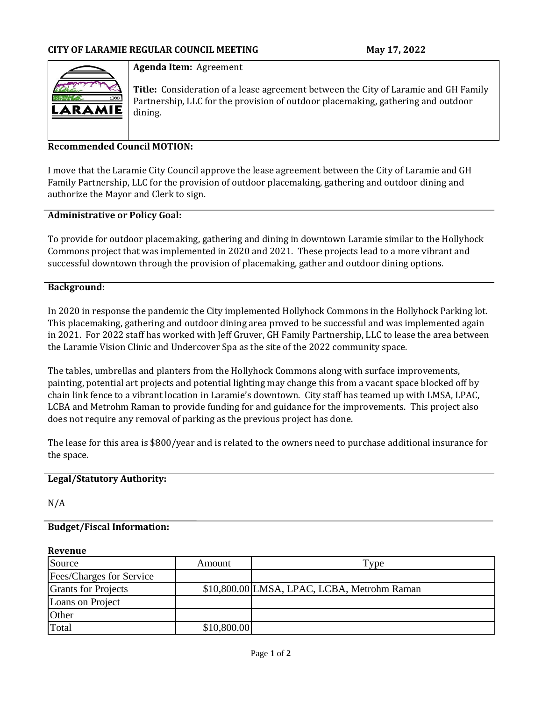

### **Agenda Item:** Agreement

**Title:** Consideration of a lease agreement between the City of Laramie and GH Family Partnership, LLC for the provision of outdoor placemaking, gathering and outdoor dining.

## **Recommended Council MOTION:**

I move that the Laramie City Council approve the lease agreement between the City of Laramie and GH Family Partnership, LLC for the provision of outdoor placemaking, gathering and outdoor dining and authorize the Mayor and Clerk to sign.

## **Administrative or Policy Goal:**

To provide for outdoor placemaking, gathering and dining in downtown Laramie similar to the Hollyhock Commons project that was implemented in 2020 and 2021. These projects lead to a more vibrant and successful downtown through the provision of placemaking, gather and outdoor dining options.

### **Background:**

In 2020 in response the pandemic the City implemented Hollyhock Commons in the Hollyhock Parking lot. This placemaking, gathering and outdoor dining area proved to be successful and was implemented again in 2021. For 2022 staff has worked with Jeff Gruver, GH Family Partnership, LLC to lease the area between the Laramie Vision Clinic and Undercover Spa as the site of the 2022 community space.

The tables, umbrellas and planters from the Hollyhock Commons along with surface improvements, painting, potential art projects and potential lighting may change this from a vacant space blocked off by chain link fence to a vibrant location in Laramie's downtown. City staff has teamed up with LMSA, LPAC, LCBA and Metrohm Raman to provide funding for and guidance for the improvements. This project also does not require any removal of parking as the previous project has done.

The lease for this area is \$800/year and is related to the owners need to purchase additional insurance for the space.

## **Legal/Statutory Authority:**

N/A

#### **Budget/Fiscal Information:**

#### **Revenue**

| Source                     | Amount      | Type                                        |
|----------------------------|-------------|---------------------------------------------|
| Fees/Charges for Service   |             |                                             |
| <b>Grants for Projects</b> |             | \$10,800.00 LMSA, LPAC, LCBA, Metrohm Raman |
| Loans on Project           |             |                                             |
| Other                      |             |                                             |
| Total                      | \$10,800.00 |                                             |